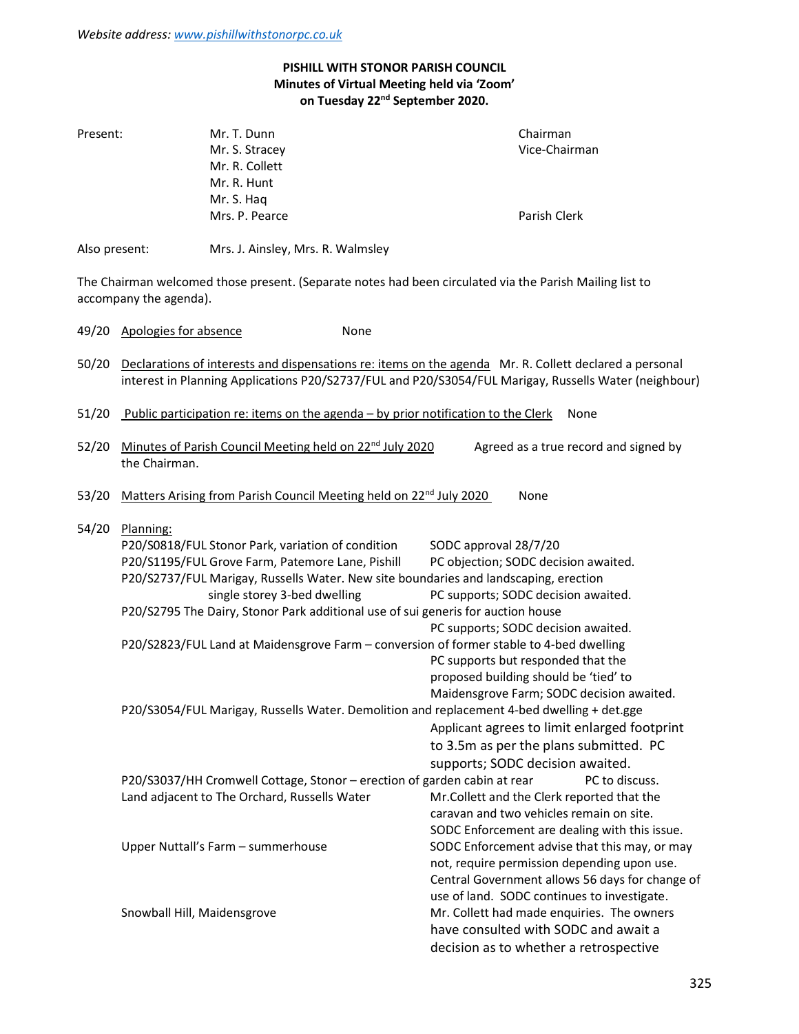# PISHILL WITH STONOR PARISH COUNCIL Minutes of Virtual Meeting held via 'Zoom' on Tuesday 22<sup>nd</sup> September 2020.

| Present:      |                                                                                            | Mr. T. Dunn                                                                          |      |                       | Chairman                                                                                                                                                                                                        |  |
|---------------|--------------------------------------------------------------------------------------------|--------------------------------------------------------------------------------------|------|-----------------------|-----------------------------------------------------------------------------------------------------------------------------------------------------------------------------------------------------------------|--|
|               |                                                                                            | Mr. S. Stracey                                                                       |      |                       | Vice-Chairman                                                                                                                                                                                                   |  |
|               |                                                                                            | Mr. R. Collett                                                                       |      |                       |                                                                                                                                                                                                                 |  |
|               |                                                                                            | Mr. R. Hunt                                                                          |      |                       |                                                                                                                                                                                                                 |  |
|               |                                                                                            |                                                                                      |      |                       |                                                                                                                                                                                                                 |  |
|               |                                                                                            | Mr. S. Haq                                                                           |      |                       |                                                                                                                                                                                                                 |  |
|               |                                                                                            | Mrs. P. Pearce                                                                       |      |                       | Parish Clerk                                                                                                                                                                                                    |  |
| Also present: |                                                                                            | Mrs. J. Ainsley, Mrs. R. Walmsley                                                    |      |                       |                                                                                                                                                                                                                 |  |
|               | accompany the agenda).                                                                     |                                                                                      |      |                       | The Chairman welcomed those present. (Separate notes had been circulated via the Parish Mailing list to                                                                                                         |  |
| 49/20         | Apologies for absence                                                                      |                                                                                      | None |                       |                                                                                                                                                                                                                 |  |
| 50/20         |                                                                                            |                                                                                      |      |                       | Declarations of interests and dispensations re: items on the agenda Mr. R. Collett declared a personal<br>interest in Planning Applications P20/S2737/FUL and P20/S3054/FUL Marigay, Russells Water (neighbour) |  |
| 51/20         |                                                                                            | Public participation re: items on the agenda - by prior notification to the Clerk    |      |                       | None                                                                                                                                                                                                            |  |
| 52/20         |                                                                                            | Minutes of Parish Council Meeting held on 22 <sup>nd</sup> July 2020                 |      |                       | Agreed as a true record and signed by                                                                                                                                                                           |  |
|               | the Chairman.                                                                              |                                                                                      |      |                       |                                                                                                                                                                                                                 |  |
|               |                                                                                            |                                                                                      |      |                       |                                                                                                                                                                                                                 |  |
| 53/20         |                                                                                            | Matters Arising from Parish Council Meeting held on 22 <sup>nd</sup> July 2020       |      |                       | None                                                                                                                                                                                                            |  |
| 54/20         | Planning:                                                                                  |                                                                                      |      |                       |                                                                                                                                                                                                                 |  |
|               |                                                                                            | P20/S0818/FUL Stonor Park, variation of condition                                    |      | SODC approval 28/7/20 |                                                                                                                                                                                                                 |  |
|               |                                                                                            | P20/S1195/FUL Grove Farm, Patemore Lane, Pishill                                     |      |                       | PC objection; SODC decision awaited.                                                                                                                                                                            |  |
|               |                                                                                            | P20/S2737/FUL Marigay, Russells Water. New site boundaries and landscaping, erection |      |                       |                                                                                                                                                                                                                 |  |
|               |                                                                                            | single storey 3-bed dwelling                                                         |      |                       | PC supports; SODC decision awaited.                                                                                                                                                                             |  |
|               |                                                                                            |                                                                                      |      |                       |                                                                                                                                                                                                                 |  |
|               |                                                                                            | P20/S2795 The Dairy, Stonor Park additional use of sui generis for auction house     |      |                       |                                                                                                                                                                                                                 |  |
|               |                                                                                            |                                                                                      |      |                       | PC supports; SODC decision awaited.                                                                                                                                                                             |  |
|               | P20/S2823/FUL Land at Maidensgrove Farm - conversion of former stable to 4-bed dwelling    |                                                                                      |      |                       |                                                                                                                                                                                                                 |  |
|               |                                                                                            |                                                                                      |      |                       | PC supports but responded that the                                                                                                                                                                              |  |
|               |                                                                                            |                                                                                      |      |                       | proposed building should be 'tied' to                                                                                                                                                                           |  |
|               |                                                                                            |                                                                                      |      |                       | Maidensgrove Farm; SODC decision awaited.                                                                                                                                                                       |  |
|               | P20/S3054/FUL Marigay, Russells Water. Demolition and replacement 4-bed dwelling + det.gge |                                                                                      |      |                       |                                                                                                                                                                                                                 |  |
|               |                                                                                            |                                                                                      |      |                       | Applicant agrees to limit enlarged footprint                                                                                                                                                                    |  |
|               |                                                                                            |                                                                                      |      |                       | to 3.5m as per the plans submitted. PC                                                                                                                                                                          |  |
|               |                                                                                            |                                                                                      |      |                       | supports; SODC decision awaited.                                                                                                                                                                                |  |
|               |                                                                                            | P20/S3037/HH Cromwell Cottage, Stonor - erection of garden cabin at rear             |      |                       | PC to discuss.                                                                                                                                                                                                  |  |
|               |                                                                                            | Land adjacent to The Orchard, Russells Water                                         |      |                       | Mr.Collett and the Clerk reported that the                                                                                                                                                                      |  |
|               |                                                                                            |                                                                                      |      |                       | caravan and two vehicles remain on site.                                                                                                                                                                        |  |
|               |                                                                                            |                                                                                      |      |                       |                                                                                                                                                                                                                 |  |
|               |                                                                                            |                                                                                      |      |                       | SODC Enforcement are dealing with this issue.                                                                                                                                                                   |  |
|               |                                                                                            | Upper Nuttall's Farm - summerhouse                                                   |      |                       | SODC Enforcement advise that this may, or may                                                                                                                                                                   |  |
|               |                                                                                            |                                                                                      |      |                       | not, require permission depending upon use.                                                                                                                                                                     |  |
|               |                                                                                            |                                                                                      |      |                       | Central Government allows 56 days for change of                                                                                                                                                                 |  |
|               |                                                                                            |                                                                                      |      |                       | use of land. SODC continues to investigate.                                                                                                                                                                     |  |
|               | Snowball Hill, Maidensgrove                                                                |                                                                                      |      |                       | Mr. Collett had made enquiries. The owners                                                                                                                                                                      |  |

 have consulted with SODC and await a decision as to whether a retrospective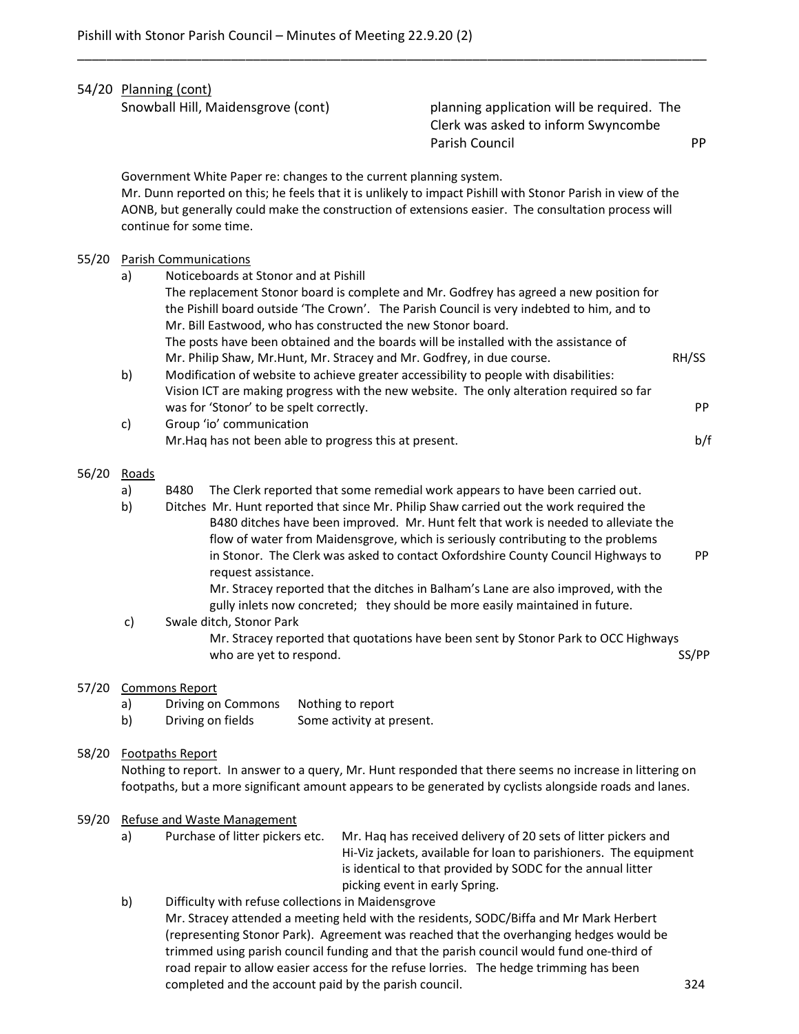|                                                                                                                                                                                                                                 |                                                                                                                                                                                                                                                                                                                     | 54/20 Planning (cont)<br>Snowball Hill, Maidensgrove (cont)           |                                                                       | planning application will be required. The<br>Clerk was asked to inform Swyncombe<br>Parish Council                                                                                                                                                                                                                                                                                                                                                                                                                         | PP          |
|---------------------------------------------------------------------------------------------------------------------------------------------------------------------------------------------------------------------------------|---------------------------------------------------------------------------------------------------------------------------------------------------------------------------------------------------------------------------------------------------------------------------------------------------------------------|-----------------------------------------------------------------------|-----------------------------------------------------------------------|-----------------------------------------------------------------------------------------------------------------------------------------------------------------------------------------------------------------------------------------------------------------------------------------------------------------------------------------------------------------------------------------------------------------------------------------------------------------------------------------------------------------------------|-------------|
|                                                                                                                                                                                                                                 | Government White Paper re: changes to the current planning system.<br>Mr. Dunn reported on this; he feels that it is unlikely to impact Pishill with Stonor Parish in view of the<br>AONB, but generally could make the construction of extensions easier. The consultation process will<br>continue for some time. |                                                                       |                                                                       |                                                                                                                                                                                                                                                                                                                                                                                                                                                                                                                             |             |
| 55/20                                                                                                                                                                                                                           | a)                                                                                                                                                                                                                                                                                                                  | <b>Parish Communications</b><br>Noticeboards at Stonor and at Pishill | Mr. Bill Eastwood, who has constructed the new Stonor board.          | The replacement Stonor board is complete and Mr. Godfrey has agreed a new position for<br>the Pishill board outside 'The Crown'. The Parish Council is very indebted to him, and to<br>The posts have been obtained and the boards will be installed with the assistance of                                                                                                                                                                                                                                                 |             |
|                                                                                                                                                                                                                                 | b)                                                                                                                                                                                                                                                                                                                  | was for 'Stonor' to be spelt correctly.                               | Mr. Philip Shaw, Mr.Hunt, Mr. Stracey and Mr. Godfrey, in due course. | Modification of website to achieve greater accessibility to people with disabilities:<br>Vision ICT are making progress with the new website. The only alteration required so far                                                                                                                                                                                                                                                                                                                                           | RH/SS<br>PP |
|                                                                                                                                                                                                                                 | c)                                                                                                                                                                                                                                                                                                                  | Group 'io' communication                                              | Mr. Haq has not been able to progress this at present.                |                                                                                                                                                                                                                                                                                                                                                                                                                                                                                                                             | b/f         |
| 56/20                                                                                                                                                                                                                           | Roads<br>a)<br>b)                                                                                                                                                                                                                                                                                                   | B480<br>request assistance.                                           |                                                                       | The Clerk reported that some remedial work appears to have been carried out.<br>Ditches Mr. Hunt reported that since Mr. Philip Shaw carried out the work required the<br>B480 ditches have been improved. Mr. Hunt felt that work is needed to alleviate the<br>flow of water from Maidensgrove, which is seriously contributing to the problems<br>in Stonor. The Clerk was asked to contact Oxfordshire County Council Highways to<br>Mr. Stracey reported that the ditches in Balham's Lane are also improved, with the | PP          |
| gully inlets now concreted; they should be more easily maintained in future.<br>Swale ditch, Stonor Park<br>c)<br>Mr. Stracey reported that quotations have been sent by Stonor Park to OCC Highways<br>who are yet to respond. |                                                                                                                                                                                                                                                                                                                     |                                                                       |                                                                       | SS/PP                                                                                                                                                                                                                                                                                                                                                                                                                                                                                                                       |             |
| 57/20                                                                                                                                                                                                                           | a)<br>b)                                                                                                                                                                                                                                                                                                            | <b>Commons Report</b><br>Driving on Commons<br>Driving on fields      | Nothing to report<br>Some activity at present.                        |                                                                                                                                                                                                                                                                                                                                                                                                                                                                                                                             |             |

\_\_\_\_\_\_\_\_\_\_\_\_\_\_\_\_\_\_\_\_\_\_\_\_\_\_\_\_\_\_\_\_\_\_\_\_\_\_\_\_\_\_\_\_\_\_\_\_\_\_\_\_\_\_\_\_\_\_\_\_\_\_\_\_\_\_\_\_\_\_\_\_\_\_\_\_\_\_\_\_\_\_\_\_\_\_

# 58/20 Footpaths Report

 Nothing to report. In answer to a query, Mr. Hunt responded that there seems no increase in littering on footpaths, but a more significant amount appears to be generated by cyclists alongside roads and lanes.

## 59/20 Refuse and Waste Management

 a) Purchase of litter pickers etc. Mr. Haq has received delivery of 20 sets of litter pickers and Hi-Viz jackets, available for loan to parishioners. The equipment is identical to that provided by SODC for the annual litter picking event in early Spring.

 b) Difficulty with refuse collections in Maidensgrove Mr. Stracey attended a meeting held with the residents, SODC/Biffa and Mr Mark Herbert

 (representing Stonor Park). Agreement was reached that the overhanging hedges would be trimmed using parish council funding and that the parish council would fund one-third of road repair to allow easier access for the refuse lorries. The hedge trimming has been completed and the account paid by the parish council. 324